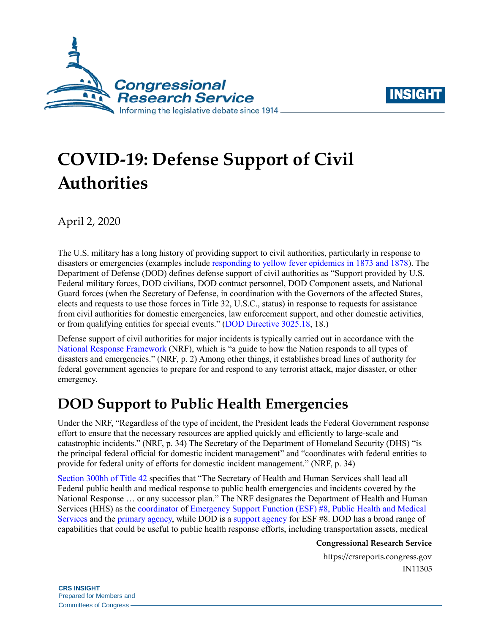



# **COVID-19: Defense Support of Civil Authorities**

April 2, 2020

The U.S. military has a long history of providing support to civil authorities, particularly in response to disasters or emergencies (examples include [responding to yellow fever epidemics in 1873 and 1878\)](https://history.army.mil/html/books/040/40-3/CMH_Pub_40-3.pdf#page=28). The Department of Defense (DOD) defines defense support of civil authorities as "Support provided by U.S. Federal military forces, DOD civilians, DOD contract personnel, DOD Component assets, and National Guard forces (when the Secretary of Defense, in coordination with the Governors of the affected States, elects and requests to use those forces in Title 32, U.S.C., status) in response to requests for assistance from civil authorities for domestic emergencies, law enforcement support, and other domestic activities, or from qualifying entities for special events." [\(DOD Directive 3025.18,](https://www.esd.whs.mil/Portals/54/Documents/DD/issuances/dodd/302518p.pdf?ver=2019-02-05-090338-707#page=18) 18.)

Defense support of civil authorities for major incidents is typically carried out in accordance with the [National Response Framework](https://www.fema.gov/media-library-data/1582825590194-2f000855d442fc3c9f18547d1468990d/NRF_FINALApproved_508_2011028v1040.pdf) (NRF), which is "a guide to how the Nation responds to all types of disasters and emergencies." (NRF, p. 2) Among other things, it establishes broad lines of authority for federal government agencies to prepare for and respond to any terrorist attack, major disaster, or other emergency.

# **DOD Support to Public Health Emergencies**

Under the NRF, "Regardless of the type of incident, the President leads the Federal Government response effort to ensure that the necessary resources are applied quickly and efficiently to large-scale and catastrophic incidents." (NRF, p. 34) The Secretary of the Department of Homeland Security (DHS) "is the principal federal official for domestic incident management" and "coordinates with federal entities to provide for federal unity of efforts for domestic incident management." (NRF, p. 34)

[Section 300hh of](https://uscode.house.gov/view.xhtml?req=(title:42%20section:300hh%20edition:prelim)%20OR%20(granuleid:USC-prelim-title42-section300hh)&f=treesort&edition=prelim&num=0&jumpTo=true) Title 42 specifies that "The Secretary of Health and Human Services shall lead all Federal public health and medical response to public health emergencies and incidents covered by the National Response … or any successor plan." The NRF designates the Department of Health and Human Services (HHS) as the [coordinator](https://www.fema.gov/media-library-data/1582825590194-2f000855d442fc3c9f18547d1468990d/NRF_FINALApproved_508_2011028v1040.pdf#page=43) of [Emergency Support Function \(ESF\) #8, Public](https://www.fema.gov/media-library-data/1470149644671-642ccad05d19449d2d13b1b0952328ed/ESF_8_Public_Health_Medical_20160705_508.pdf) Health and Medical [Services](https://www.fema.gov/media-library-data/1470149644671-642ccad05d19449d2d13b1b0952328ed/ESF_8_Public_Health_Medical_20160705_508.pdf) and the [primary agency,](https://www.fema.gov/media-library-data/1582825590194-2f000855d442fc3c9f18547d1468990d/NRF_FINALApproved_508_2011028v1040.pdf#page=45) while DOD is a [support agency](https://www.fema.gov/media-library-data/1582825590194-2f000855d442fc3c9f18547d1468990d/NRF_FINALApproved_508_2011028v1040.pdf#page=44) for ESF #8. DOD has a broad range of capabilities that could be useful to public health response efforts, including transportation assets, medical

#### **Congressional Research Service**

https://crsreports.congress.gov IN11305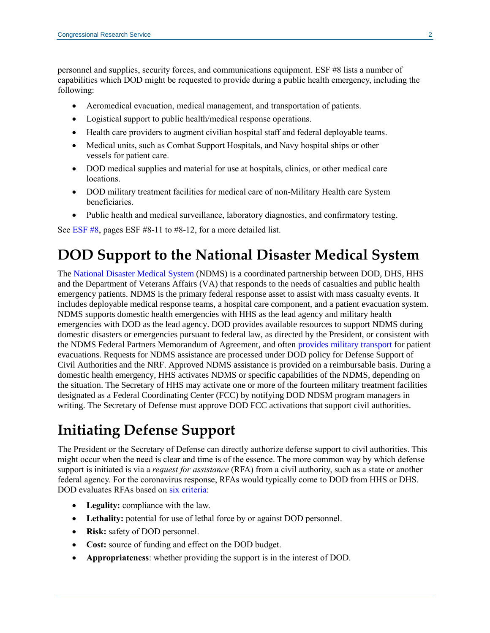personnel and supplies, security forces, and communications equipment. ESF #8 lists a number of capabilities which DOD might be requested to provide during a public health emergency, including the following:

- Aeromedical evacuation, medical management, and transportation of patients.
- Logistical support to public health/medical response operations.
- Health care providers to augment civilian hospital staff and federal deployable teams.
- Medical units, such as Combat Support Hospitals, and Navy hospital ships or other vessels for patient care.
- DOD medical supplies and material for use at hospitals, clinics, or other medical care locations.
- DOD military treatment facilities for medical care of non-Military Health care System beneficiaries.
- Public health and medical surveillance, laboratory diagnostics, and confirmatory testing.

See [ESF #8,](https://www.fema.gov/media-library-data/1470149644671-642ccad05d19449d2d13b1b0952328ed/ESF_8_Public_Health_Medical_20160705_508.pdf#page=11) pages ESF #8-11 to #8-12, for a more detailed list.

## **DOD Support to the National Disaster Medical System**

The [National Disaster Medical System](https://www.phe.gov/Preparedness/responders/ndms/Pages/default.aspx) (NDMS) is a coordinated partnership between DOD, DHS, HHS and the Department of Veterans Affairs (VA) that responds to the needs of casualties and public health emergency patients. NDMS is the primary federal response asset to assist with mass casualty events. It includes deployable medical response teams, a hospital care component, and a patient evacuation system. NDMS supports domestic health emergencies with HHS as the lead agency and military health emergencies with DOD as the lead agency. DOD provides available resources to support NDMS during domestic disasters or emergencies pursuant to federal law, as directed by the President, or consistent with the NDMS Federal Partners Memorandum of Agreement, and often [provides military transport](https://www.phe.gov/Preparedness/responders/ndms/Pages/patient-mvmt.aspx) for patient evacuations. Requests for NDMS assistance are processed under DOD policy for Defense Support of Civil Authorities and the NRF. Approved NDMS assistance is provided on a reimbursable basis. During a domestic health emergency, HHS activates NDMS or specific capabilities of the NDMS, depending on the situation. The Secretary of HHS may activate one or more of the fourteen military treatment facilities designated as a Federal Coordinating Center (FCC) by notifying DOD NDSM program managers in writing. The Secretary of Defense must approve DOD FCC activations that support civil authorities.

## **Initiating Defense Support**

The President or the Secretary of Defense can directly authorize defense support to civil authorities. This might occur when the need is clear and time is of the essence. The more common way by which defense support is initiated is via a *request for assistance* (RFA) from a civil authority, such as a state or another federal agency. For the coronavirus response, RFAs would typically come to DOD from HHS or DHS. DOD evaluates RFAs based on [six criteria:](https://www.esd.whs.mil/Portals/54/Documents/DD/issuances/dodd/302518p.pdf?ver=2019-02-05-090338-707#page=4)

- **Legality:** compliance with the law.
- **Lethality:** potential for use of lethal force by or against DOD personnel.
- **Risk:** safety of DOD personnel.
- Cost: source of funding and effect on the DOD budget.
- **Appropriateness**: whether providing the support is in the interest of DOD.